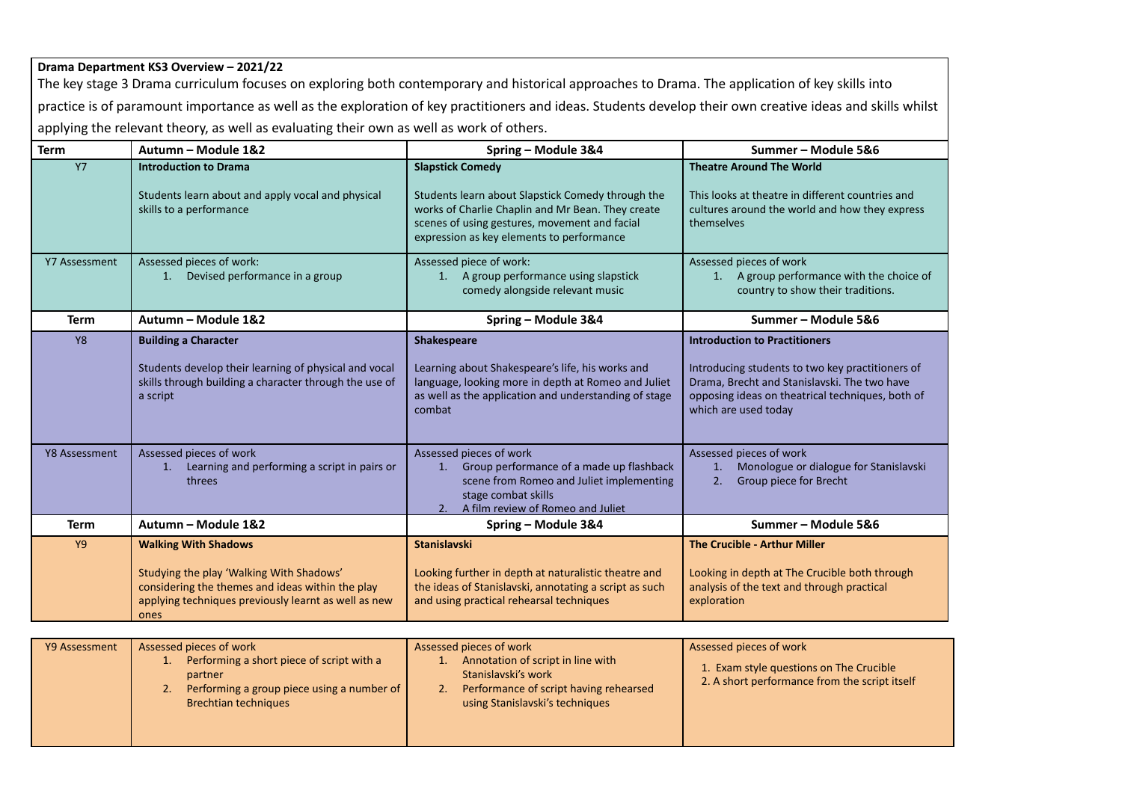## **Drama Department KS3 Overview – 2021/22**

The key stage 3 Drama curriculum focuses on exploring both contemporary and historical approaches to Drama. The application of key skills into practice is of paramount importance as well as the exploration of key practitioners and ideas. Students develop their own creative ideas and skills whilst applying the relevant theory, as well as evaluating their own as well as work of others.

| <b>Term</b>   | Autumn - Module 1&2                                                                                                                                                                         | Spring - Module 3&4                                                                                                                                                                                                             | Summer - Module 5&6                                                                                                                                                                                                  |
|---------------|---------------------------------------------------------------------------------------------------------------------------------------------------------------------------------------------|---------------------------------------------------------------------------------------------------------------------------------------------------------------------------------------------------------------------------------|----------------------------------------------------------------------------------------------------------------------------------------------------------------------------------------------------------------------|
| <b>Y7</b>     | <b>Introduction to Drama</b><br>Students learn about and apply vocal and physical<br>skills to a performance                                                                                | <b>Slapstick Comedy</b><br>Students learn about Slapstick Comedy through the<br>works of Charlie Chaplin and Mr Bean. They create<br>scenes of using gestures, movement and facial<br>expression as key elements to performance | <b>Theatre Around The World</b><br>This looks at theatre in different countries and<br>cultures around the world and how they express<br>themselves                                                                  |
| Y7 Assessment | Assessed pieces of work:<br>Devised performance in a group<br>1.                                                                                                                            | Assessed piece of work:<br>A group performance using slapstick<br>1.<br>comedy alongside relevant music                                                                                                                         | Assessed pieces of work<br>1. A group performance with the choice of<br>country to show their traditions.                                                                                                            |
| <b>Term</b>   | Autumn - Module 1&2                                                                                                                                                                         | Spring - Module 3&4                                                                                                                                                                                                             | Summer - Module 5&6                                                                                                                                                                                                  |
| <b>Y8</b>     | <b>Building a Character</b><br>Students develop their learning of physical and vocal<br>skills through building a character through the use of<br>a script                                  | <b>Shakespeare</b><br>Learning about Shakespeare's life, his works and<br>language, looking more in depth at Romeo and Juliet<br>as well as the application and understanding of stage<br>combat                                | <b>Introduction to Practitioners</b><br>Introducing students to two key practitioners of<br>Drama, Brecht and Stanislavski. The two have<br>opposing ideas on theatrical techniques, both of<br>which are used today |
| Y8 Assessment | Assessed pieces of work<br>Learning and performing a script in pairs or<br>1.<br>threes                                                                                                     | Assessed pieces of work<br>Group performance of a made up flashback<br>1.<br>scene from Romeo and Juliet implementing<br>stage combat skills<br>A film review of Romeo and Juliet<br>2.                                         | Assessed pieces of work<br>Monologue or dialogue for Stanislavski<br>1.<br>Group piece for Brecht<br>2.                                                                                                              |
| <b>Term</b>   | Autumn - Module 1&2                                                                                                                                                                         | Spring - Module 3&4                                                                                                                                                                                                             | Summer-Module 5&6                                                                                                                                                                                                    |
| <b>Y9</b>     | <b>Walking With Shadows</b><br>Studying the play 'Walking With Shadows'<br>considering the themes and ideas within the play<br>applying techniques previously learnt as well as new<br>ones | <b>Stanislavski</b><br>Looking further in depth at naturalistic theatre and<br>the ideas of Stanislavski, annotating a script as such<br>and using practical rehearsal techniques                                               | <b>The Crucible - Arthur Miller</b><br>Looking in depth at The Crucible both through<br>analysis of the text and through practical<br>exploration                                                                    |

| Y9 Assessment | Assessed pieces of work<br>Performing a short piece of script with a<br>partner<br>Performing a group piece using a number of<br>2.<br><b>Brechtian techniques</b> | Assessed pieces of work<br>Annotation of script in line with<br>Stanislavski's work<br>Performance of script having rehearsed<br>using Stanislavski's techniques | Assessed pieces of work<br>1. Exam style questions on The Crucible<br>2. A short performance from the script itself |
|---------------|--------------------------------------------------------------------------------------------------------------------------------------------------------------------|------------------------------------------------------------------------------------------------------------------------------------------------------------------|---------------------------------------------------------------------------------------------------------------------|
|               |                                                                                                                                                                    |                                                                                                                                                                  |                                                                                                                     |